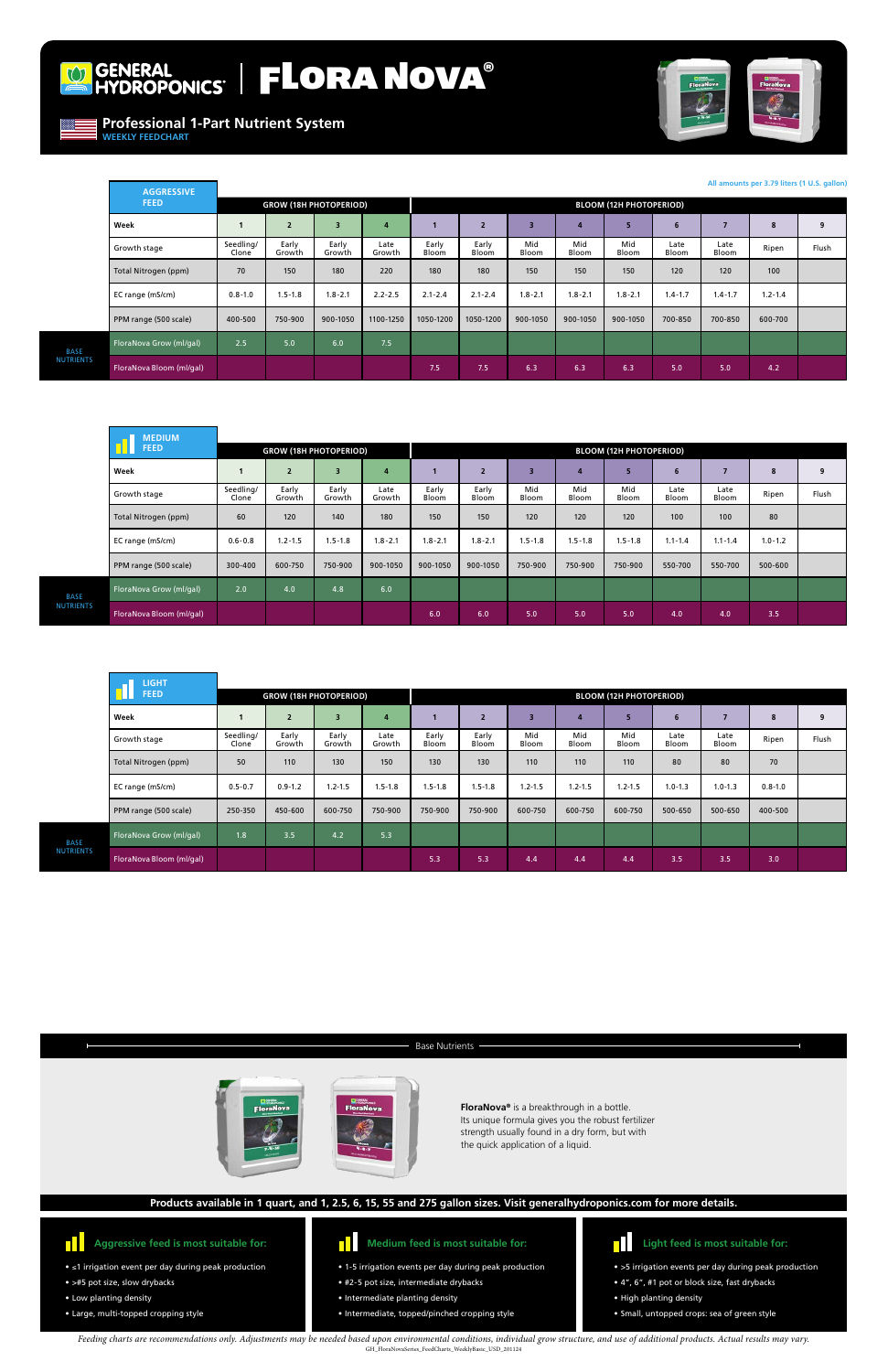

# GENERAL FLORA NOVA®



**Professional 1-Part Nutrient System**

**WEEKLY FEEDCHART**

**FloraNova®** is a breakthrough in a bottle. Its unique formula gives you the robust fertilizer strength usually found in a dry form, but with the quick application of a liquid.

#### $\blacksquare$ **Aggressive feed is most suitable for:**

- ≤1 irrigation event per day during peak production
- >#5 pot size, slow drybacks
- Low planting density
- Large, multi-topped cropping style
- 1-5 irrigation events per day during peak production
- #2-5 pot size, intermediate drybacks
- Intermediate planting density
- Intermediate, topped/pinched cropping style



- >5 irrigation events per day during peak production
- 4", 6", #1 pot or block size, fast drybacks
- High planting density
- Small, untopped crops: sea of green style



## **Products available in 1 quart, and 1, 2.5, 6, 15, 55 and 275 gallon sizes. Visit generalhydroponics.com for more details.**

### Base Nutrients



*Feeding charts are recommendations only. Adjustments may be needed based upon environmental conditions, individual grow structure, and use of additional products. Actual results may vary.*  GH\_FloraNovaSeries\_FeedCharts\_WeeklyBasic\_USD\_201124

|                                 | <b>MEDIUM</b>            |                               |                 |                 |                |                                |                |              |              |              |               |               |             |       |
|---------------------------------|--------------------------|-------------------------------|-----------------|-----------------|----------------|--------------------------------|----------------|--------------|--------------|--------------|---------------|---------------|-------------|-------|
|                                 | <b>FEED</b>              | <b>GROW (18H PHOTOPERIOD)</b> |                 |                 |                | <b>BLOOM (12H PHOTOPERIOD)</b> |                |              |              |              |               |               |             |       |
|                                 | Week                     |                               | $\overline{2}$  | 3               | $\overline{a}$ |                                | $\overline{2}$ | з            | 4            | 5            | 6             |               | 8           | 9     |
|                                 | Growth stage             | Seedling/<br>Clone            | Early<br>Growth | Early<br>Growth | Late<br>Growth | Early<br>Bloom                 | Early<br>Bloom | Mid<br>Bloom | Mid<br>Bloom | Mid<br>Bloom | Late<br>Bloom | Late<br>Bloom | Ripen       | Flush |
|                                 | Total Nitrogen (ppm)     | 60                            | 120             | 140             | 180            | 150                            | 150            | 120          | 120          | 120          | 100           | 100           | 80          |       |
|                                 | EC range (mS/cm)         | $0.6 - 0.8$                   | $1.2 - 1.5$     | $1.5 - 1.8$     | $1.8 - 2.1$    | $1.8 - 2.1$                    | $1.8 - 2.1$    | $1.5 - 1.8$  | $1.5 - 1.8$  | $1.5 - 1.8$  | $1.1 - 1.4$   | $1.1 - 1.4$   | $1.0 - 1.2$ |       |
|                                 | PPM range (500 scale)    | 300-400                       | 600-750         | 750-900         | 900-1050       | 900-1050                       | 900-1050       | 750-900      | 750-900      | 750-900      | 550-700       | 550-700       | 500-600     |       |
| <b>BASE</b><br><b>NUTRIENTS</b> | FloraNova Grow (ml/gal)  | 2.0                           | 4.0             | 4.8             | 6.0            |                                |                |              |              |              |               |               |             |       |
|                                 | FloraNova Bloom (ml/gal) |                               |                 |                 |                | 6.0                            | 6.0            | 5.0          | 5.0          | 5.0          | 4.0           | 4.0           | 3.5         |       |

|                          | <b>LIGHT</b>             |                               |                 |                 |                |                |                                |              |              |              |               |               |             |       |
|--------------------------|--------------------------|-------------------------------|-----------------|-----------------|----------------|----------------|--------------------------------|--------------|--------------|--------------|---------------|---------------|-------------|-------|
|                          | <b>FEED</b>              | <b>GROW (18H PHOTOPERIOD)</b> |                 |                 |                |                | <b>BLOOM (12H PHOTOPERIOD)</b> |              |              |              |               |               |             |       |
|                          | Week                     |                               | $\overline{2}$  | $\overline{3}$  | 4              |                | $\overline{\phantom{a}}$       | -3           | 4            | 5            | 6             | 7             | 8           | 9     |
|                          | Growth stage             | Seedling/<br>Clone            | Early<br>Growth | Early<br>Growth | Late<br>Growth | Early<br>Bloom | Early<br>Bloom                 | Mid<br>Bloom | Mid<br>Bloom | Mid<br>Bloom | Late<br>Bloom | Late<br>Bloom | Ripen       | Flush |
|                          | Total Nitrogen (ppm)     | 50                            | 110             | 130             | 150            | 130            | 130                            | 110          | 110          | 110          | 80            | 80            | 70          |       |
|                          | EC range (mS/cm)         | $0.5 - 0.7$                   | $0.9 - 1.2$     | $1.2 - 1.5$     | $1.5 - 1.8$    | $1.5 - 1.8$    | $1.5 - 1.8$                    | $1.2 - 1.5$  | $1.2 - 1.5$  | $1.2 - 1.5$  | $1.0 - 1.3$   | $1.0 - 1.3$   | $0.8 - 1.0$ |       |
|                          | PPM range (500 scale)    | 250-350                       | 450-600         | 600-750         | 750-900        | 750-900        | 750-900                        | 600-750      | 600-750      | 600-750      | 500-650       | 500-650       | 400-500     |       |
| <b>BASE</b><br>NUTRIENTS | FloraNova Grow (ml/gal)  | 1.8                           | 3.5             | 4.2             | 5.3            |                |                                |              |              |              |               |               |             |       |
|                          | FloraNova Bloom (ml/gal) |                               |                 |                 |                | 5.3            | 5.3                            | 4.4          | 4.4          | 4.4          | 3.5           | 3.5           | 3.0         |       |

| <b>AGGRESSIVE</b>        |                               |                 |                         |                |                                |                |              |              |              |                |               |             |                                             |
|--------------------------|-------------------------------|-----------------|-------------------------|----------------|--------------------------------|----------------|--------------|--------------|--------------|----------------|---------------|-------------|---------------------------------------------|
| <b>FEED</b>              | <b>GROW (18H PHOTOPERIOD)</b> |                 |                         |                | <b>BLOOM (12H PHOTOPERIOD)</b> |                |              |              |              |                |               |             |                                             |
| Week                     |                               | $\overline{2}$  | $\overline{\mathbf{3}}$ | $\overline{a}$ |                                | $\overline{2}$ | 3            | 4            | 5            | $6\phantom{1}$ | 7             | 8           | 9                                           |
| Growth stage             | Seedling/<br>Clone            | Early<br>Growth | Early<br>Growth         | Late<br>Growth | Early<br>Bloom                 | Early<br>Bloom | Mid<br>Bloom | Mid<br>Bloom | Mid<br>Bloom | Late<br>Bloom  | Late<br>Bloom | Ripen       | Flush                                       |
| Total Nitrogen (ppm)     | 70                            | 150             | 180                     | 220            | 180                            | 180            | 150          | 150          | 150          | 120            | 120           | 100         |                                             |
| EC range (mS/cm)         | $0.8 - 1.0$                   | $1.5 - 1.8$     | $1.8 - 2.1$             | $2.2 - 2.5$    | $2.1 - 2.4$                    | $2.1 - 2.4$    | $1.8 - 2.1$  | $1.8 - 2.1$  | $1.8 - 2.1$  | $1.4 - 1.7$    | $1.4 - 1.7$   | $1.2 - 1.4$ |                                             |
| PPM range (500 scale)    | 400-500                       | 750-900         | 900-1050                | 1100-1250      | 1050-1200                      | 1050-1200      | 900-1050     | 900-1050     | 900-1050     | 700-850        | 700-850       | 600-700     |                                             |
| FloraNova Grow (ml/gal)  | 2.5                           | 5.0             | 6.0                     | 7.5            |                                |                |              |              |              |                |               |             |                                             |
| FloraNova Bloom (ml/gal) |                               |                 |                         |                | 7.5                            | 7.5            | 6.3          | 6.3          | 6.3          | 5.0            | 5.0           | 4.2         |                                             |
|                          |                               |                 |                         |                |                                |                |              |              |              |                |               |             | All amounts per 3.79 liters (1 U.S. gallon) |